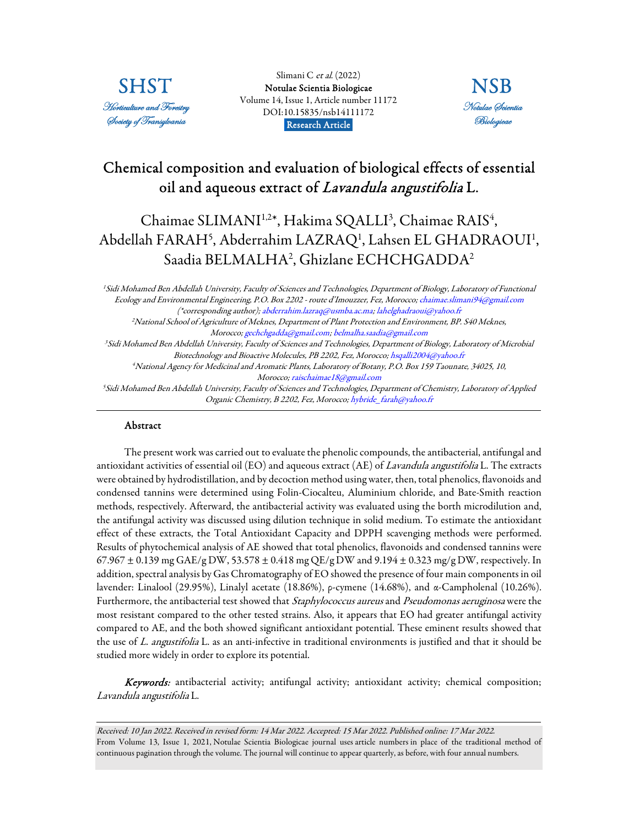

Slimani C et al. (2022) [Notulae Scientia Biologicae](https://www.notulaebiologicae.ro/index.php/nsb/index)  Volume 14, Issue 1, Article number 11172 DOI:10.15835/nsb14111172 Research Article.



## Chemical composition and evaluation of biological effects of essential oil and aqueous extract of Lavandula angustifolia L.

# Chaimae SLIMANI<sup>1,2\*</sup>, Hakima SQALLI<sup>3</sup>, Chaimae RAIS<sup>4</sup>, Abdellah FARAH<sup>5</sup>, Abderrahim LAZRAQ<sup>1</sup>, Lahsen EL GHADRAOUI<sup>1</sup>, Saadia BELMALHA<sup>2</sup> , Ghizlane ECHCHGADDA<sup>2</sup>

<sup>1</sup> Sidi Mohamed Ben Abdellah University, Faculty of Sciences and Technologies, Department of Biology, Laboratory of Functional Ecology and Environmental Engineering, P.O. Box 2202 - route d'Imouzzer, Fez, Morocco; chaimae.slimani94@gmail.com (\*corresponding author); abderrahim.lazraq@usmba.ac.ma; lahelghadraoui@yahoo.fr <sup>2</sup>National School of Agriculture of Meknes, Department of Plant Protection and Environment, BP. S40 Meknes, Morocco; gechchgadda@gmail.com; belmalha.saadia@gmail.com <sup>3</sup> Sidi Mohamed Ben Abdellah University, Faculty of Sciences and Technologies, Department of Biology, Laboratory of Microbial Biotechnology and Bioactive Molecules, PB 2202, Fez, Morocco; hsqalli2004@yahoo.fr <sup>4</sup>National Agency for Medicinal and Aromatic Plants, Laboratory of Botany, P.O. Box 159 Taounate, 34025, 10, Morocco; raischaimae18@gmail.com <sup>5</sup> Sidi Mohamed Ben Abdellah University, Faculty of Sciences and Technologies, Department of Chemistry, Laboratory of Applied Organic Chemistry, B 2202, Fez, Morocco; hybride\_farah@yahoo.fr

## Abstract

The present work was carried out to evaluate the phenolic compounds, the antibacterial, antifungal and antioxidant activities of essential oil (EO) and aqueous extract (AE) of Lavandula angustifolia L. The extracts were obtained by hydrodistillation, and by decoction method using water, then, total phenolics, flavonoids and condensed tannins were determined using Folin-Ciocalteu, Aluminium chloride, and Bate-Smith reaction methods, respectively. Afterward, the antibacterial activity was evaluated using the borth microdilution and, the antifungal activity was discussed using dilution technique in solid medium. To estimate the antioxidant effect of these extracts, the Total Antioxidant Capacity and DPPH scavenging methods were performed. Results of phytochemical analysis of AE showed that total phenolics, flavonoids and condensed tannins were  $67.967 \pm 0.139$  mg GAE/g DW,  $53.578 \pm 0.418$  mg QE/g DW and  $9.194 \pm 0.323$  mg/g DW, respectively. In addition, spectral analysis by Gas Chromatography of EO showed the presence of four main components in oil lavender: Linalool (29.95%), Linalyl acetate (18.86%), ρ-cymene (14.68%), and α-Campholenal (10.26%). Furthermore, the antibacterial test showed that Staphylococcus aureus and Pseudomonas aeruginosa were the most resistant compared to the other tested strains. Also, it appears that EO had greater antifungal activity compared to AE, and the both showed significant antioxidant potential. These eminent results showed that the use of L. angustifolia L. as an anti-infective in traditional environments is justified and that it should be studied more widely in order to explore its potential.

Keywords: antibacterial activity; antifungal activity; antioxidant activity; chemical composition; Lavandula angustifolia L.

Received: 10 Jan 2022. Received in revised form: 14 Mar 2022. Accepted: 15 Mar 2022. Published online: 17 Mar 2022. From Volume 13, Issue 1, 2021, Notulae Scientia Biologicae journal uses article numbers in place of the traditional method of continuous pagination through the volume. The journal will continue to appear quarterly, as before, with four annual numbers.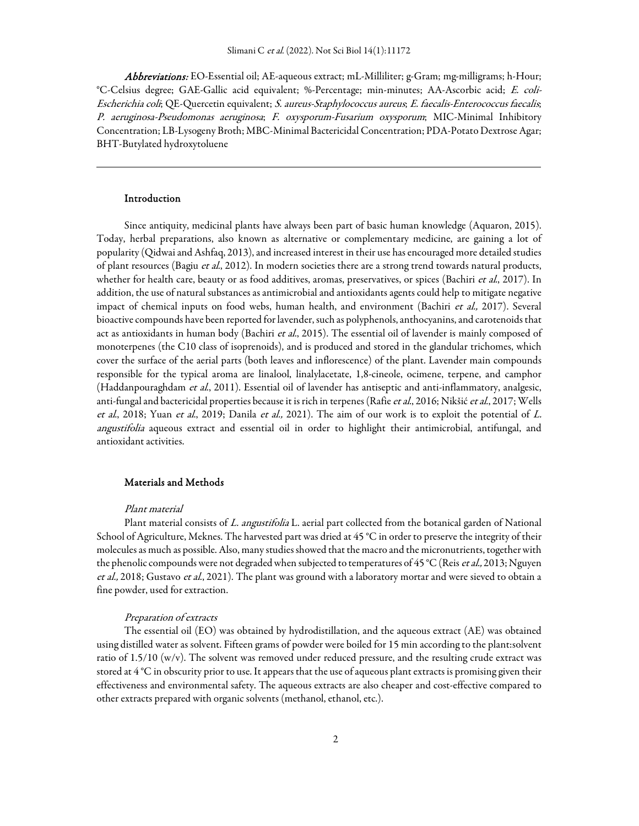Abbreviations: EO-Essential oil; AE-aqueous extract; mL-Milliliter; g-Gram; mg-milligrams; h-Hour; °C-Celsius degree; GAE-Gallic acid equivalent; %-Percentage; min-minutes; AA-Ascorbic acid; E. coli-Escherichia coli; QE-Quercetin equivalent; S. aureus-Staphylococcus aureus; E. faecalis-Enterococcus faecalis; P. aeruginosa-Pseudomonas aeruginosa; F. oxysporum-Fusarium oxysporum; MIC-Minimal Inhibitory Concentration; LB-Lysogeny Broth; MBC-Minimal Bactericidal Concentration; PDA-Potato Dextrose Agar; BHT-Butylated hydroxytoluene

#### Introduction

Since antiquity, medicinal plants have always been part of basic human knowledge (Aquaron, 2015). Today, herbal preparations, also known as alternative or complementary medicine, are gaining a lot of popularity (Qidwai and Ashfaq, 2013), and increased interest in their use has encouraged more detailed studies of plant resources (Bagiu et al., 2012). In modern societies there are a strong trend towards natural products, whether for health care, beauty or as food additives, aromas, preservatives, or spices (Bachiri et al., 2017). In addition, the use of natural substances as antimicrobial and antioxidants agents could help to mitigate negative impact of chemical inputs on food webs, human health, and environment (Bachiri et al., 2017). Several bioactive compounds have been reported for lavender, such as polyphenols, anthocyanins, and carotenoids that act as antioxidants in human body (Bachiri et al., 2015). The essential oil of lavender is mainly composed of monoterpenes (the C10 class of isoprenoids), and is produced and stored in the glandular trichomes, which cover the surface of the aerial parts (both leaves and inflorescence) of the plant. Lavender main compounds responsible for the typical aroma are linalool, linalylacetate, 1,8-cineole, ocimene, terpene, and camphor (Haddanpouraghdam et al., 2011). Essential oil of lavender has antiseptic and anti-inflammatory, analgesic, anti-fungal and bactericidal properties because it is rich in terpenes (Rafie et al., 2016; Nikšić et al., 2017; Wells et al., 2018; Yuan et al., 2019; Danila et al., 2021). The aim of our work is to exploit the potential of L. angustifolia aqueous extract and essential oil in order to highlight their antimicrobial, antifungal, and antioxidant activities.

## Materials and Methods

#### Plant material

Plant material consists of L. angustifolia L. aerial part collected from the botanical garden of National School of Agriculture, Meknes. The harvested part was dried at 45 °C in order to preserve the integrity of their molecules as much as possible. Also, many studies showed that the macro and the micronutrients, together with the phenolic compounds were not degraded when subjected to temperatures of 45 °C (Reis *et al.*, 2013; Nguyen et al., 2018; Gustavo et al., 2021). The plant was ground with a laboratory mortar and were sieved to obtain a fine powder, used for extraction.

## Preparation of extracts

The essential oil (EO) was obtained by hydrodistillation, and the aqueous extract (AE) was obtained using distilled water as solvent. Fifteen grams of powder were boiled for 15 min according to the plant:solvent ratio of 1.5/10 (w/v). The solvent was removed under reduced pressure, and the resulting crude extract was stored at 4 °C in obscurity prior to use. It appears that the use of aqueous plant extracts is promising given their effectiveness and environmental safety. The aqueous extracts are also cheaper and cost-effective compared to other extracts prepared with organic solvents (methanol, ethanol, etc.).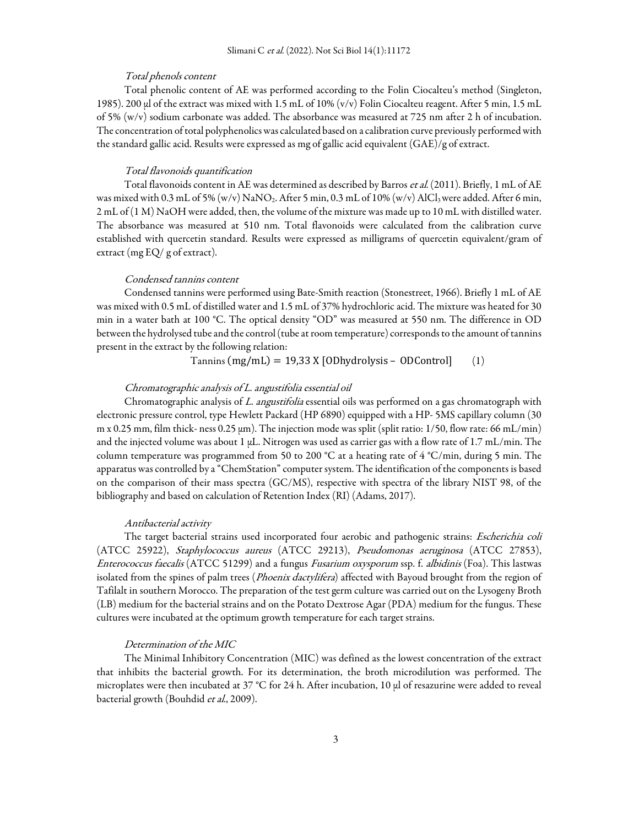#### Total phenols content

Total phenolic content of AE was performed according to the Folin Ciocalteu's method (Singleton, 1985). 200 μl of the extract was mixed with 1.5 mL of 10% (v/v) Folin Ciocalteu reagent. After 5 min, 1.5 mL of 5% (w/v) sodium carbonate was added. The absorbance was measured at 725 nm after 2 h of incubation. The concentration of total polyphenolics was calculated based on a calibration curve previously performed with the standard gallic acid. Results were expressed as mg of gallic acid equivalent (GAE)/g of extract.

## Total flavonoids quantification

Total flavonoids content in AE was determined as described by Barros et al. (2011). Briefly, 1 mL of AE was mixed with 0.3 mL of 5% (w/v) NaNO<sub>2</sub>. After 5 min, 0.3 mL of 10% (w/v) AlCl<sub>3</sub> were added. After 6 min, 2 mL of (1 M) NaOH were added, then, the volume of the mixture was made up to 10 mL with distilled water. The absorbance was measured at 510 nm. Total flavonoids were calculated from the calibration curve established with quercetin standard. Results were expressed as milligrams of quercetin equivalent/gram of extract (mg EQ/ g of extract).

#### Condensed tannins content

Condensed tannins were performed using Bate-Smith reaction (Stonestreet, 1966). Briefly 1 mL of AE was mixed with 0.5 mL of distilled water and 1.5 mL of 37% hydrochloric acid. The mixture was heated for 30 min in a water bath at 100 °C. The optical density "OD" was measured at 550 nm. The difference in OD between the hydrolysed tube and the control (tube at room temperature) corresponds to the amount of tannins present in the extract by the following relation:

 $Tannins (mg/mL) = 19,33 X [ODhydrolysis - ODControl]$  (1)

## Chromatographic analysis of L. angustifolia essential oil

Chromatographic analysis of L. angustifolia essential oils was performed on a gas chromatograph with electronic pressure control, type Hewlett Packard (HP 6890) equipped with a HP- 5MS capillary column (30 m x 0.25 mm, film thick- ness 0.25  $\mu$ m). The injection mode was split (split ratio: 1/50, flow rate: 66 mL/min) and the injected volume was about 1 µL. Nitrogen was used as carrier gas with a flow rate of 1.7 mL/min. The column temperature was programmed from 50 to 200 °C at a heating rate of 4 °C/min, during 5 min. The apparatus was controlled by a "ChemStation" computer system. The identification of the components is based on the comparison of their mass spectra (GC/MS), respective with spectra of the library NIST 98, of the bibliography and based on calculation of Retention Index (RI) (Adams, 2017).

#### Antibacterial activity

The target bacterial strains used incorporated four aerobic and pathogenic strains: Escherichia coli (ATCC 25922), Staphylococcus aureus (ATCC 29213), Pseudomonas aeruginosa (ATCC 27853), Enterococcus faecalis (ATCC 51299) and a fungus Fusarium oxysporum ssp. f. albidinis (Foa). This lastwas isolated from the spines of palm trees (*Phoenix dactylifera*) affected with Bayoud brought from the region of Tafilalt in southern Morocco. The preparation of the test germ culture was carried out on the Lysogeny Broth (LB) medium for the bacterial strains and on the Potato Dextrose Agar (PDA) medium for the fungus. These cultures were incubated at the optimum growth temperature for each target strains.

#### Determination of the MIC

The Minimal Inhibitory Concentration (MIC) was defined as the lowest concentration of the extract that inhibits the bacterial growth. For its determination, the broth microdilution was performed. The microplates were then incubated at 37 °C for 24 h. After incubation, 10 μl of resazurine were added to reveal bacterial growth (Bouhdid et al., 2009).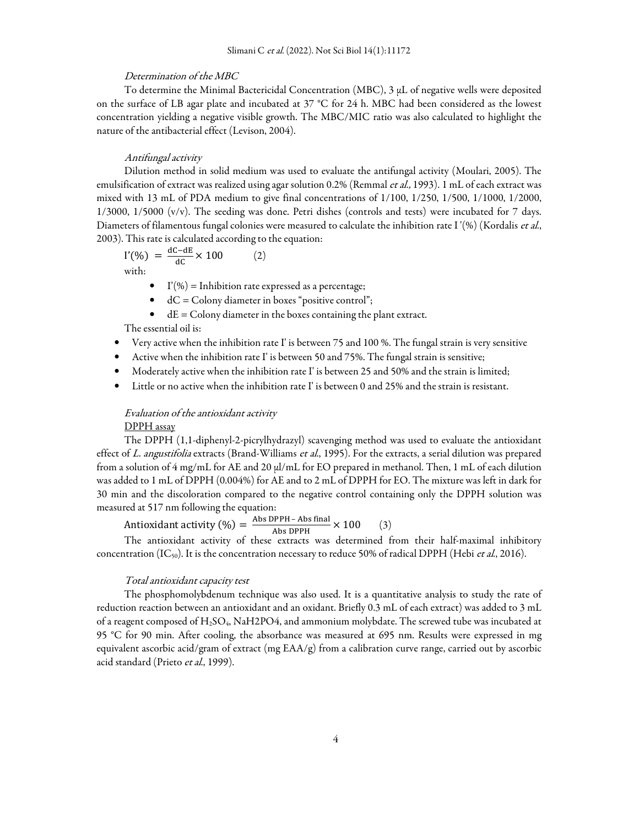### Determination of the MBC

To determine the Minimal Bactericidal Concentration (MBC), 3 μL of negative wells were deposited on the surface of LB agar plate and incubated at 37 °C for 24 h. MBC had been considered as the lowest concentration yielding a negative visible growth. The MBC/MIC ratio was also calculated to highlight the nature of the antibacterial effect (Levison, 2004).

#### Antifungal activity

Dilution method in solid medium was used to evaluate the antifungal activity (Moulari, 2005). The emulsification of extract was realized using agar solution 0.2% (Remmal et al., 1993). 1 mL of each extract was mixed with 13 mL of PDA medium to give final concentrations of 1/100, 1/250, 1/500, 1/1000, 1/2000, 1/3000, 1/5000 (v/v). The seeding was done. Petri dishes (controls and tests) were incubated for 7 days. Diameters of filamentous fungal colonies were measured to calculate the inhibition rate I'(%) (Kordalis et al., 2003). This rate is calculated according to the equation:

$$
I'(\%) = \frac{dC - dE}{dC} \times 100
$$
 (2)  
with:

- $\bullet$  I'(%) = Inhibition rate expressed as a percentage;
- $\bullet$  dC = Colony diameter in boxes "positive control";
- $\bullet$  dE = Colony diameter in the boxes containing the plant extract.

The essential oil is:

- Very active when the inhibition rate I' is between 75 and 100 %. The fungal strain is very sensitive
- Active when the inhibition rate I' is between 50 and 75%. The fungal strain is sensitive;
- Moderately active when the inhibition rate I' is between 25 and 50% and the strain is limited;
- Little or no active when the inhibition rate I' is between 0 and 25% and the strain is resistant.

## Evaluation of the antioxidant activity

#### DPPH assay

The DPPH (1,1-diphenyl-2-picrylhydrazyl) scavenging method was used to evaluate the antioxidant effect of L. angustifolia extracts (Brand-Williams et al., 1995). For the extracts, a serial dilution was prepared from a solution of 4 mg/mL for AE and 20 μl/mL for EO prepared in methanol. Then, 1 mL of each dilution was added to 1 mL of DPPH (0.004%) for AE and to 2 mL of DPPH for EO. The mixture was left in dark for 30 min and the discoloration compared to the negative control containing only the DPPH solution was measured at 517 nm following the equation:

Antioxidant activity (%) =  $\frac{\text{Abs DPPH - Abs final}}{\text{Abs DPPH}} \times 100$  (3)

The antioxidant activity of these extracts was determined from their half-maximal inhibitory concentration  $(IC_{50})$ . It is the concentration necessary to reduce 50% of radical DPPH (Hebi et al., 2016).

## Total antioxidant capacity test

The phosphomolybdenum technique was also used. It is a quantitative analysis to study the rate of reduction reaction between an antioxidant and an oxidant. Briefly 0.3 mL of each extract) was added to 3 mL of a reagent composed of  $H_2SO_4$ , NaH2PO4, and ammonium molybdate. The screwed tube was incubated at 95 °C for 90 min. After cooling, the absorbance was measured at 695 nm. Results were expressed in mg equivalent ascorbic acid/gram of extract (mg EAA/g) from a calibration curve range, carried out by ascorbic acid standard (Prieto et al., 1999).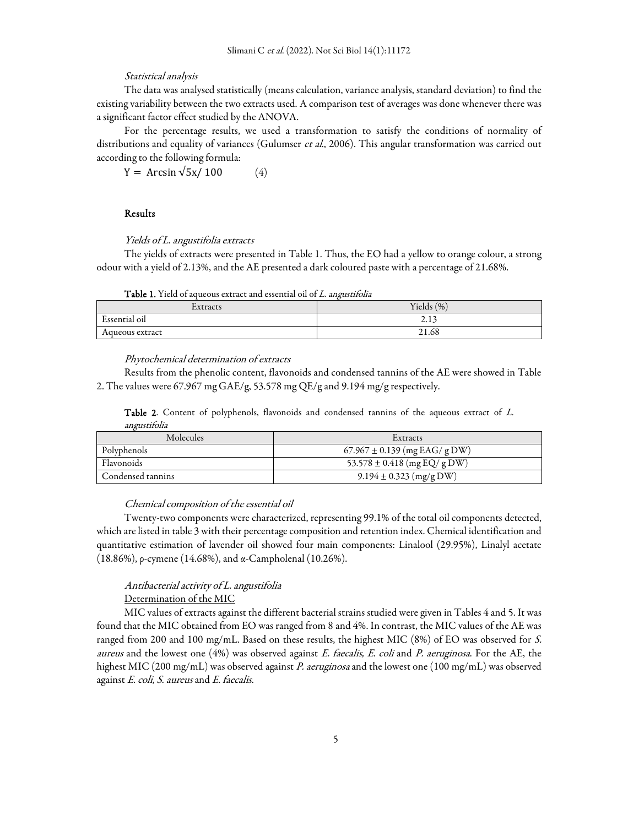#### Statistical analysis

The data was analysed statistically (means calculation, variance analysis, standard deviation) to find the existing variability between the two extracts used. A comparison test of averages was done whenever there was a significant factor effect studied by the ANOVA.

For the percentage results, we used a transformation to satisfy the conditions of normality of distributions and equality of variances (Gulumser et al., 2006). This angular transformation was carried out according to the following formula:

 $Y = Arcsin \sqrt{5x/100}$  (4)

## Results

Yields of L. angustifolia extracts

The yields of extracts were presented in Table 1. Thus, the EO had a yellow to orange colour, a strong odour with a yield of 2.13%, and the AE presented a dark coloured paste with a percentage of 21.68%.

Table 1. Yield of aqueous extract and essential oil of L. angustifolia

| ┳.<br>Extracts                | Yields $(\%)$ |
|-------------------------------|---------------|
| $\mathbf{r}$<br>Essential oil | 212<br>2.13   |
| Aqueous extract               | 21.68         |

Phytochemical determination of extracts

Results from the phenolic content, flavonoids and condensed tannins of the AE were showed in Table 2. The values were 67.967 mg GAE/g, 53.578 mg QE/g and 9.194 mg/g respectively.

Table 2. Content of polyphenols, flavonoids and condensed tannins of the aqueous extract of L. angustifolia

| Molecules         | Extracts                          |
|-------------------|-----------------------------------|
| Polyphenols       | $67.967 \pm 0.139$ (mg EAG/ g DW) |
| Flavonoids        | 53.578 $\pm$ 0.418 (mg EQ/ g DW)  |
| Condensed tannins | $9.194 \pm 0.323$ (mg/g DW)       |

## Chemical composition of the essential oil

Twenty-two components were characterized, representing 99.1% of the total oil components detected, which are listed in table 3 with their percentage composition and retention index. Chemical identification and quantitative estimation of lavender oil showed four main components: Linalool (29.95%), Linalyl acetate (18.86%), ρ-cymene (14.68%), and α-Campholenal (10.26%).

## Antibacterial activity of L. angustifolia

Determination of the MIC

MIC values of extracts against the different bacterial strains studied were given in Tables 4 and 5. It was found that the MIC obtained from EO was ranged from 8 and 4%. In contrast, the MIC values of the AE was ranged from 200 and 100 mg/mL. Based on these results, the highest MIC (8%) of EO was observed for S. aureus and the lowest one (4%) was observed against E. faecalis, E. coli and P. aeruginosa. For the AE, the highest MIC (200 mg/mL) was observed against P. aeruginosa and the lowest one (100 mg/mL) was observed against E. coli, S. aureus and E. faecalis.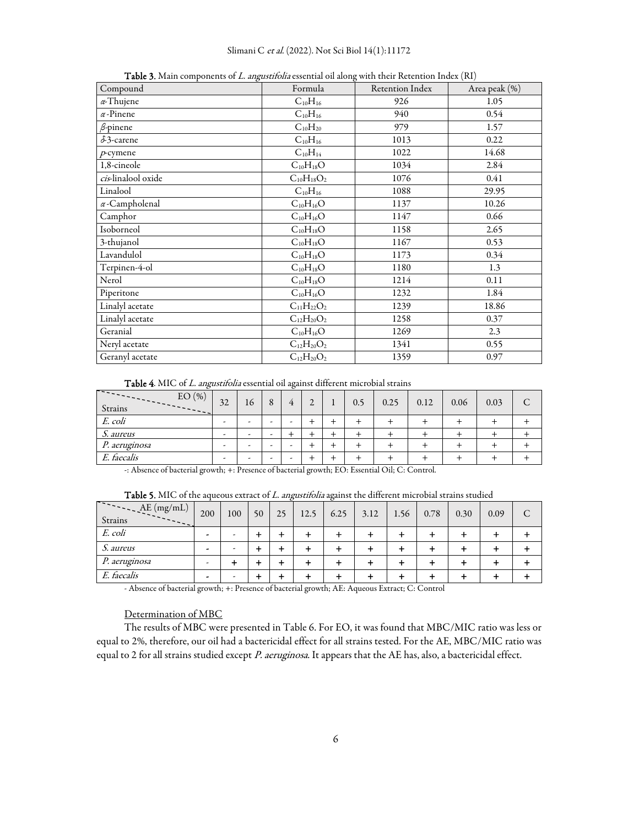| Compound              | Formula           | Retention Index | Area peak (%) |
|-----------------------|-------------------|-----------------|---------------|
| $\alpha$ -Thujene     | $C_{10}H_{16}$    | 926             | 1.05          |
| $\alpha$ -Pinene      | $C_{10}H_{16}$    | 940             | 0.54          |
| $\beta$ -pinene       | $C_{10}H_{20}$    | 979             | 1.57          |
| $\delta$ 3-carene     | $C_{10}H_{16}$    | 1013            | 0.22          |
| $p$ -cymene           | $C_{10}H_{14}$    | 1022            | 14.68         |
| 1,8-cineole           | $C_{10}H_{18}O$   | 1034            | 2.84          |
| cis-linalool oxide    | $C_{10}H_{18}O_2$ | 1076            | 0.41          |
| Linalool              | $C_{10}H_{16}$    | 1088            | 29.95         |
| $\alpha$ -Campholenal | $C_{10}H_{16}O$   | 1137            | 10.26         |
| Camphor               | $C_{10}H_{16}O$   | 1147            | 0.66          |
| Isoborneol            | $C_{10}H_{18}O$   | 1158            | 2.65          |
| 3-thujanol            | $C_{10}H_{18}O$   | 1167            | 0.53          |
| Lavandulol            | $C_{10}H_{18}O$   | 1173            | 0.34          |
| Terpinen-4-ol         | $C_{10}H_{18}O$   | 1180            | 1.3           |
| Nerol                 | $C_{10}H_{18}O$   | 1214            | 0.11          |
| Piperitone            | $C_{10}H_{16}O$   | 1232            | 1.84          |
| Linalyl acetate       | $C_{11}H_{22}O_2$ | 1239            | 18.86         |
| Linalyl acetate       | $C_{12}H_{20}O_2$ | 1258            | 0.37          |
| Geranial              | $C_{10}H_{16}O$   | 1269            | 2.3           |
| Neryl acetate         | $C_{12}H_{20}O_2$ | 1341            | 0.55          |
| Geranyl acetate       | $C_{12}H_{20}O_2$ | 1359            | 0.97          |

Table 3. Main components of L. angustifolia essential oil along with their Retention Index (RI)

Table 4. MIC of L. angustifolia essential oil against different microbial strains

| <u>a san an San Aonaich an Dùbhan an Dùbhan an Dùbhan an Dùbhan an Dùbhan an Dùbhan an Dùbhan an Dùbhan an Dùbhan an Dùbhan an Dùbhan an Dùbhan an Dùbhan an Dùbhan an Dùbhan an Dùbhan an Dùbhan an Dùbhan an Dùbhan an Dùbhan </u><br>EO(%)<br>Strains<br>$- - - - - -$ | 32                       | 16                       | 8 | 4 | $\gamma$<br>∠ | 0.5 | 0.25 | 0.12 | 0.06 | 0.03 | $\subset$<br>◡ |
|---------------------------------------------------------------------------------------------------------------------------------------------------------------------------------------------------------------------------------------------------------------------------|--------------------------|--------------------------|---|---|---------------|-----|------|------|------|------|----------------|
| E. coli                                                                                                                                                                                                                                                                   | $\overline{\phantom{a}}$ | -                        |   |   |               |     |      |      |      |      |                |
| S. aureus                                                                                                                                                                                                                                                                 | $\overline{\phantom{0}}$ | $\overline{\phantom{a}}$ | - |   |               |     |      |      |      |      |                |
| P. aeruginosa                                                                                                                                                                                                                                                             | $\overline{\phantom{a}}$ |                          |   |   |               |     |      |      |      |      |                |
| E. faecalis                                                                                                                                                                                                                                                               | $\overline{\phantom{a}}$ | -                        | - |   |               |     |      |      |      |      |                |

-: Absence of bacterial growth; +: Presence of bacterial growth; EO: Essential Oil; C: Control.

| Table 5. MIC of the aqueous extract of L. angustifolia against the different microbial strains studied |  |  |  |  |  |  |
|--------------------------------------------------------------------------------------------------------|--|--|--|--|--|--|
|                                                                                                        |  |  |  |  |  |  |

| AE(mg/mL)<br>Strains | 200                      | 100 | 50 | 25 | 12.5 | 6.25 | 3.12 | 1.56 | 0.78 | 0.30 | 0.09 | C |
|----------------------|--------------------------|-----|----|----|------|------|------|------|------|------|------|---|
| E. coli              | -                        |     |    |    |      |      |      |      |      |      |      |   |
| <i>S. aureus</i>     | $\overline{\phantom{0}}$ |     |    |    |      |      |      |      |      |      |      |   |
| <i>P. aeruginosa</i> | ٠                        |     |    |    |      |      |      |      |      |      |      |   |
| E. faecalis          |                          |     |    |    |      |      |      |      |      |      |      |   |

- Absence of bacterial growth; +: Presence of bacterial growth; AE: Aqueous Extract; C: Control

## Determination of MBC

The results of MBC were presented in Table 6. For EO, it was found that MBC/MIC ratio was less or equal to 2%, therefore, our oil had a bactericidal effect for all strains tested. For the AE, MBC/MIC ratio was equal to 2 for all strains studied except P. aeruginosa. It appears that the AE has, also, a bactericidal effect.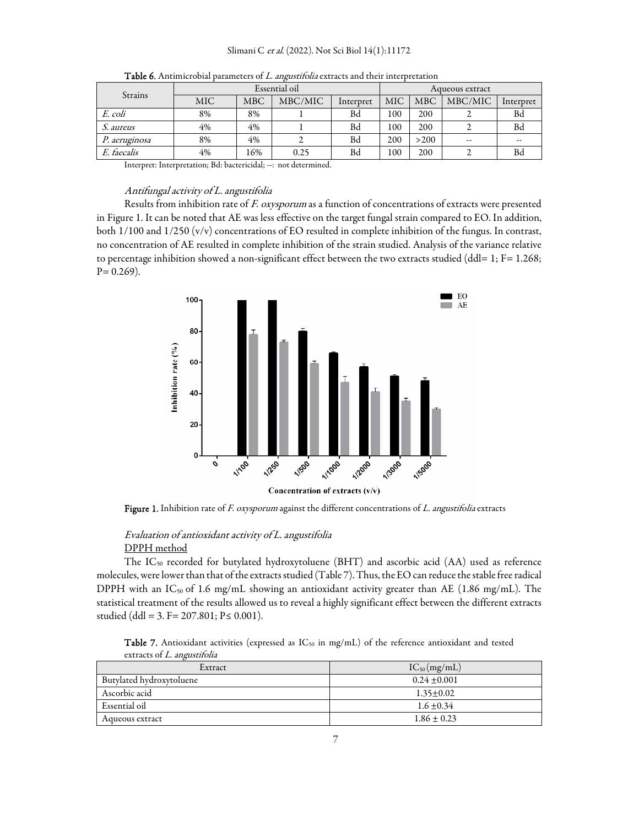| Strains       |     |            | Essential oil | Aqueous extract |      |            |         |           |  |
|---------------|-----|------------|---------------|-----------------|------|------------|---------|-----------|--|
|               | MIC | <b>MBC</b> | MBC/MIC       | Interpret       | MIC. | <b>MBC</b> | MBC/MIC | Interpret |  |
| E. coli       | 8%  | 8%         |               | Bd              | 100  | 200        |         | Bd        |  |
| S. aureus     | 4%  | 4%         |               | Bd              | 100  | 200        |         | <b>Bd</b> |  |
| P. aeruginosa | 8%  | 4%         |               | Bd              | 200  | >200       | $-$     | --        |  |
| E. faecalis   | 4%  | 16%        | 0.25          | Bd              | 100  | 200        |         | <b>Bd</b> |  |

Table 6. Antimicrobial parameters of L. angustifolia extracts and their interpretation

Interpret: Interpretation; Bd: bactericidal; --: not determined.

#### Antifungal activity of L. angustifolia

Results from inhibition rate of F. oxysporum as a function of concentrations of extracts were presented in Figure 1. It can be noted that AE was less effective on the target fungal strain compared to EO. In addition, both 1/100 and 1/250 (v/v) concentrations of EO resulted in complete inhibition of the fungus. In contrast, no concentration of AE resulted in complete inhibition of the strain studied. Analysis of the variance relative to percentage inhibition showed a non-significant effect between the two extracts studied (ddl= 1; F= 1.268;  $P = 0.269$ ).



Figure 1. Inhibition rate of F. oxysporum against the different concentrations of  $L$ . angustifolia extracts

## Evaluation of antioxidant activity of L. angustifolia DPPH method

The IC<sub>50</sub> recorded for butylated hydroxytoluene (BHT) and ascorbic acid (AA) used as reference molecules, were lower than that of the extracts studied (Table 7). Thus, the EO can reduce the stable free radical DPPH with an  $IC_{50}$  of 1.6 mg/mL showing an antioxidant activity greater than AE (1.86 mg/mL). The statistical treatment of the results allowed us to reveal a highly significant effect between the different extracts studied (ddl = 3. F =  $207.801$ ; P  $\leq 0.001$ ).

Table 7. Antioxidant activities (expressed as IC<sub>50</sub> in mg/mL) of the reference antioxidant and tested extracts of L. angustifolia

| Extract                  | $IC_{50}(mg/mL)$ |
|--------------------------|------------------|
| Butylated hydroxytoluene | $0.24 + 0.001$   |
| Ascorbic acid            | $1.35 \pm 0.02$  |
| Essential oil            | $1.6 \pm 0.34$   |
| Aqueous extract          | $1.86 \pm 0.23$  |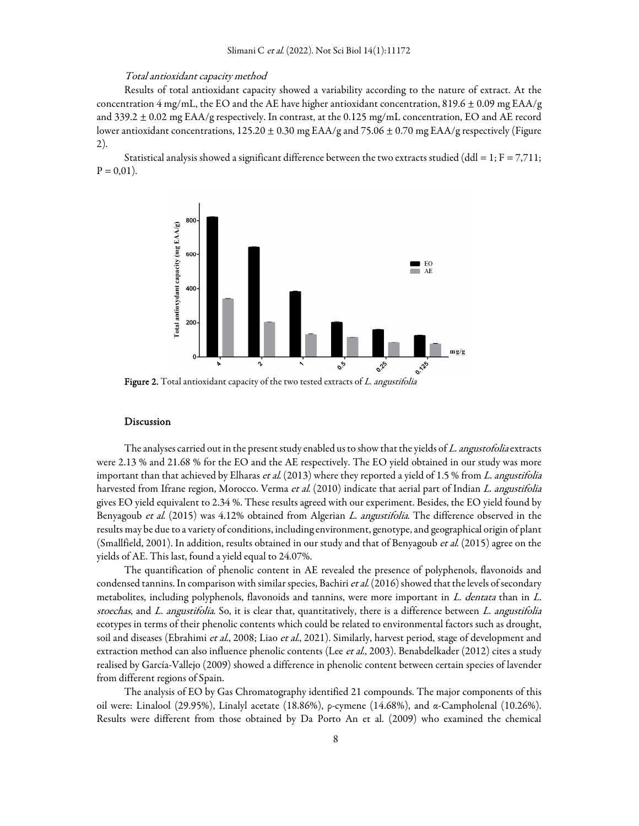#### Total antioxidant capacity method

Results of total antioxidant capacity showed a variability according to the nature of extract. At the concentration 4 mg/mL, the EO and the AE have higher antioxidant concentration, 819.6  $\pm$  0.09 mg EAA/g and 339.2 ± 0.02 mg EAA/g respectively. In contrast, at the 0.125 mg/mL concentration, EO and AE record lower antioxidant concentrations,  $125.20 \pm 0.30$  mg EAA/g and  $75.06 \pm 0.70$  mg EAA/g respectively (Figure 2).

Statistical analysis showed a significant difference between the two extracts studied (ddl = 1;  $F = 7,711$ ;  $P = 0.01$ ).



Figure 2. Total antioxidant capacity of the two tested extracts of L. angustifolia

#### Discussion

The analyses carried out in the present study enabled us to show that the yields of L. angustofolia extracts were 2.13 % and 21.68 % for the EO and the AE respectively. The EO yield obtained in our study was more important than that achieved by Elharas et al. (2013) where they reported a yield of 1.5 % from L. angustifolia harvested from Ifrane region, Morocco. Verma et al. (2010) indicate that aerial part of Indian L. angustifolia gives EO yield equivalent to 2.34 %. These results agreed with our experiment. Besides, the EO yield found by Benyagoub et al. (2015) was 4.12% obtained from Algerian L. angustifolia. The difference observed in the results may be due to a variety of conditions, including environment, genotype, and geographical origin of plant (Smallfield, 2001). In addition, results obtained in our study and that of Benyagoub et al. (2015) agree on the yields of AE. This last, found a yield equal to 24.07%.

The quantification of phenolic content in AE revealed the presence of polyphenols, flavonoids and condensed tannins. In comparison with similar species, Bachiri et al. (2016) showed that the levels of secondary metabolites, including polyphenols, flavonoids and tannins, were more important in L. dentata than in L. stoechas, and  $L$ . angustifolia. So, it is clear that, quantitatively, there is a difference between  $L$ . angustifolia ecotypes in terms of their phenolic contents which could be related to environmental factors such as drought, soil and diseases (Ebrahimi et al., 2008; Liao et al., 2021). Similarly, harvest period, stage of development and extraction method can also influence phenolic contents (Lee et al., 2003). Benabdelkader (2012) cites a study realised by García-Vallejo (2009) showed a difference in phenolic content between certain species of lavender from different regions of Spain.

The analysis of EO by Gas Chromatography identified 21 compounds. The major components of this oil were: Linalool (29.95%), Linalyl acetate (18.86%), ρ-cymene (14.68%), and α-Campholenal (10.26%). Results were different from those obtained by Da Porto An et al. (2009) who examined the chemical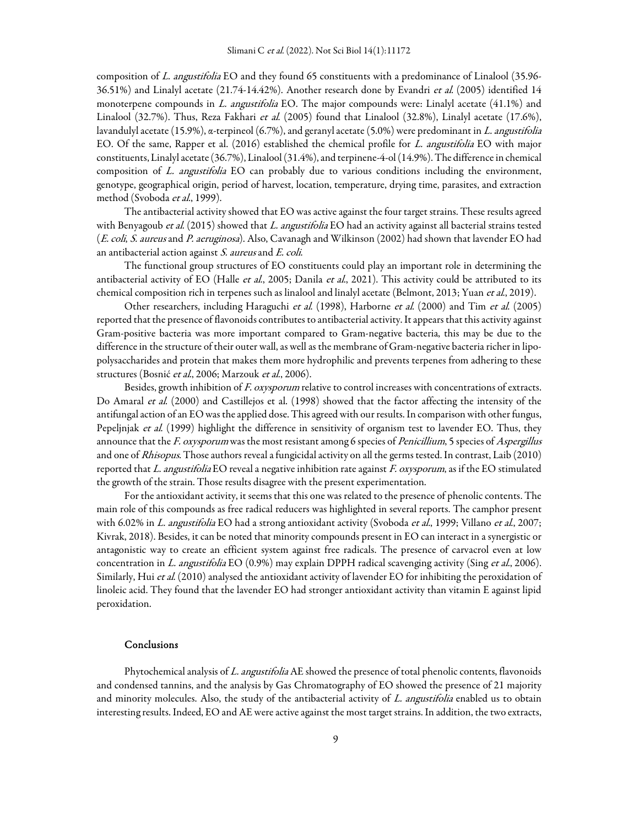composition of L. angustifolia EO and they found 65 constituents with a predominance of Linalool (35.96- 36.51%) and Linalyl acetate (21.74-14.42%). Another research done by Evandri et al. (2005) identified 14 monoterpene compounds in L. angustifolia EO. The major compounds were: Linalyl acetate (41.1%) and Linalool (32.7%). Thus, Reza Fakhari et al. (2005) found that Linalool (32.8%), Linalyl acetate (17.6%), lavandulyl acetate (15.9%), α-terpineol (6.7%), and geranyl acetate (5.0%) were predominant in L. angustifolia EO. Of the same, Rapper et al. (2016) established the chemical profile for L. angustifolia EO with major constituents, Linalyl acetate (36.7%), Linalool (31.4%), and terpinene-4-ol (14.9%). The difference in chemical composition of L. angustifolia EO can probably due to various conditions including the environment, genotype, geographical origin, period of harvest, location, temperature, drying time, parasites, and extraction method (Svoboda *et al.*, 1999).

The antibacterial activity showed that EO was active against the four target strains. These results agreed with Benyagoub et al. (2015) showed that L. angustifolia EO had an activity against all bacterial strains tested (E. coli, S. aureus and P. aeruginosa). Also, Cavanagh and Wilkinson (2002) had shown that lavender EO had an antibacterial action against S. aureus and E. coli.

The functional group structures of EO constituents could play an important role in determining the antibacterial activity of EO (Halle et al., 2005; Danila et al., 2021). This activity could be attributed to its chemical composition rich in terpenes such as linalool and linalyl acetate (Belmont, 2013; Yuan et al., 2019).

Other researchers, including Haraguchi et al. (1998), Harborne et al. (2000) and Tim et al. (2005) reported that the presence of flavonoids contributes to antibacterial activity. It appears that this activity against Gram-positive bacteria was more important compared to Gram-negative bacteria, this may be due to the difference in the structure of their outer wall, as well as the membrane of Gram-negative bacteria richer in lipopolysaccharides and protein that makes them more hydrophilic and prevents terpenes from adhering to these structures (Bosnić et al., 2006; Marzouk et al., 2006).

Besides, growth inhibition of F. oxysporum relative to control increases with concentrations of extracts. Do Amaral et al. (2000) and Castillejos et al. (1998) showed that the factor affecting the intensity of the antifungal action of an EO was the applied dose. This agreed with our results. In comparison with other fungus, Pepeljnjak et al. (1999) highlight the difference in sensitivity of organism test to lavender EO. Thus, they announce that the F. oxysporum was the most resistant among 6 species of Penicillium, 5 species of Aspergillus and one of Rhisopus. Those authors reveal a fungicidal activity on all the germs tested. In contrast, Laib (2010) reported that L. angustifolia EO reveal a negative inhibition rate against F. oxysporum, as if the EO stimulated the growth of the strain. Those results disagree with the present experimentation.

For the antioxidant activity, it seems that this one was related to the presence of phenolic contents. The main role of this compounds as free radical reducers was highlighted in several reports. The camphor present with 6.02% in L. angustifolia EO had a strong antioxidant activity (Svoboda et al., 1999; Villano et al., 2007; Kivrak, 2018). Besides, it can be noted that minority compounds present in EO can interact in a synergistic or antagonistic way to create an efficient system against free radicals. The presence of carvacrol even at low concentration in L. angustifolia EO (0.9%) may explain DPPH radical scavenging activity (Sing et al., 2006). Similarly, Hui et al. (2010) analysed the antioxidant activity of lavender EO for inhibiting the peroxidation of linoleic acid. They found that the lavender EO had stronger antioxidant activity than vitamin E against lipid peroxidation.

#### Conclusions

Phytochemical analysis of L. angustifolia AE showed the presence of total phenolic contents, flavonoids and condensed tannins, and the analysis by Gas Chromatography of EO showed the presence of 21 majority and minority molecules. Also, the study of the antibacterial activity of L. angustifolia enabled us to obtain interesting results. Indeed, EO and AE were active against the most target strains. In addition, the two extracts,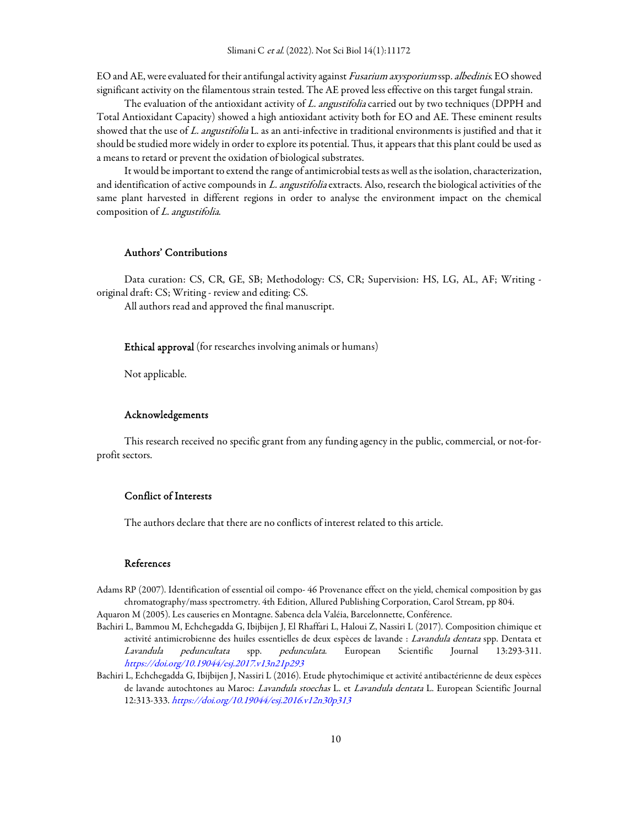EO and AE, were evaluated for their antifungal activity against Fusarium axysporium ssp. albedinis. EO showed significant activity on the filamentous strain tested. The AE proved less effective on this target fungal strain.

The evaluation of the antioxidant activity of L. angustifolia carried out by two techniques (DPPH and Total Antioxidant Capacity) showed a high antioxidant activity both for EO and AE. These eminent results showed that the use of L. angustifolia L. as an anti-infective in traditional environments is justified and that it should be studied more widely in order to explore its potential. Thus, it appears that this plant could be used as a means to retard or prevent the oxidation of biological substrates.

It would be important to extend the range of antimicrobial tests as well as the isolation, characterization, and identification of active compounds in L. angustifolia extracts. Also, research the biological activities of the same plant harvested in different regions in order to analyse the environment impact on the chemical composition of L. angustifolia.

## Authors' Contributions

Data curation: CS, CR, GE, SB; Methodology: CS, CR; Supervision: HS, LG, AL, AF; Writing original draft: CS; Writing - review and editing: CS.

All authors read and approved the final manuscript.

#### Ethical approval (for researches involving animals or humans)

Not applicable.

#### Acknowledgements

This research received no specific grant from any funding agency in the public, commercial, or not-forprofit sectors.

## Conflict of Interests

The authors declare that there are no conflicts of interest related to this article.

## References

Adams RP (2007). Identification of essential oil compo- 46 Provenance effect on the yield, chemical composition by gas chromatography/mass spectrometry. 4th Edition, Allured Publishing Corporation, Carol Stream, pp 804. Aquaron M (2005). Les causeries en Montagne. Sabenca dela Valéia, Barcelonnette, Conférence.

- Bachiri L, Bammou M, Echchegadda G, Ibijbijen J, El Rhaffari L, Haloui Z, Nassiri L (2017). Composition chimique et activité antimicrobienne des huiles essentielles de deux espèces de lavande : Lavandula dentata spp. Dentata et Lavandula peduncultata spp. pedunculata. European Scientific Journal 13:293-311. https://doi.org/10.19044/esj.2017.v13n21p293
- Bachiri L, Echchegadda G, Ibijbijen J, Nassiri L (2016). Etude phytochimique et activité antibactérienne de deux espèces de lavande autochtones au Maroc: Lavandula stoechas L. et Lavandula dentata L. European Scientific Journal 12:313-333. https://doi.org/10.19044/esj.2016.v12n30p313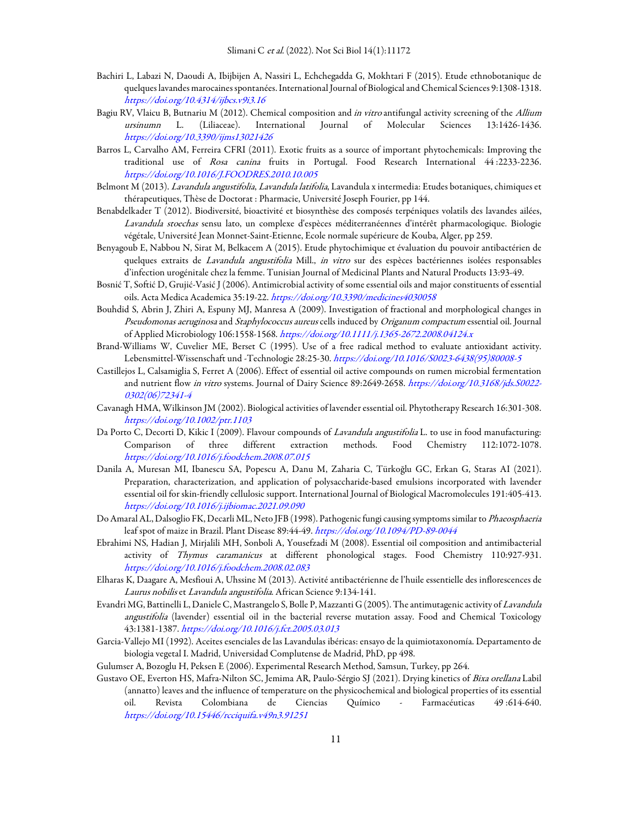- Bachiri L, Labazi N, Daoudi A, Ibijbijen A, Nassiri L, Echchegadda G, Mokhtari F (2015). Etude ethnobotanique de quelques lavandes marocaines spontanées. International Journal of Biological and Chemical Sciences 9:1308-1318. https://doi.org/10.4314/ijbcs.v9i3.16
- Bagiu RV, Vlaicu B, Butnariu M (2012). Chemical composition and in vitro antifungal activity screening of the Allium ursinumn L. (Liliaceae). International Journal of Molecular Sciences 13:1426-1436. https://doi.org/10.3390/ijms13021426
- Barros L, Carvalho AM, Ferreira CFRI (2011). Exotic fruits as a source of important phytochemicals: Improving the traditional use of Rosa canina fruits in Portugal. Food Research International 44 :2233-2236. https://doi.org/10.1016/J.FOODRES.2010.10.005
- Belmont M (2013). Lavandula angustifolia, Lavandula latifolia, Lavandula x intermedia: Etudes botaniques, chimiques et thérapeutiques, Thèse de Doctorat : Pharmacie, Université Joseph Fourier, pp 144.
- Benabdelkader T (2012). Biodiversité, bioactivité et biosynthèse des composés terpéniques volatils des lavandes ailées, Lavandula stoechas sensu lato, un complexe d'espèces méditerranéennes d'intérêt pharmacologique. Biologie végétale, Université Jean Monnet-Saint-Etienne, Ecole normale supérieure de Kouba, Alger, pp 259.
- Benyagoub E, Nabbou N, Sirat M, Belkacem A (2015). Etude phytochimique et évaluation du pouvoir antibactérien de quelques extraits de Lavandula angustifolia Mill., in vitro sur des espèces bactériennes isolées responsables d'infection urogénitale chez la femme. Tunisian Journal of Medicinal Plants and Natural Products 13:93-49.
- Bosnić T, Softić D, Grujić-Vasić J (2006). Antimicrobial activity of some essential oils and major constituents of essential oils. Acta Medica Academica 35:19-22. https://doi.org/10.3390/medicines4030058
- Bouhdid S, Abrin J, Zhiri A, Espuny MJ, Manresa A (2009). Investigation of fractional and morphological changes in Pseudomonas aeruginosa and Staphylococcus aureus cells induced by Origanum compactum essential oil. Journal of Applied Microbiology 106:1558-1568. https://doi.org/10.1111/j.1365-2672.2008.04124.x
- Brand-Williams W, Cuvelier ME, Berset C (1995). Use of a free radical method to evaluate antioxidant activity. Lebensmittel-Wissenschaft und -Technologie 28:25-30. https://doi.org/10.1016/S0023-6438(95)80008-5
- Castillejos L, Calsamiglia S, Ferret A (2006). Effect of essential oil active compounds on rumen microbial fermentation and nutrient flow in vitro systems. Journal of Dairy Science 89:2649-2658. https://doi.org/10.3168/jds.S0022- 0302(06)72341-4
- Cavanagh HMA, Wilkinson JM (2002). Biological activities of lavender essential oil. Phytotherapy Research 16:301-308. https://doi.org/10.1002/ptr.1103
- Da Porto C, Decorti D, Kikic I (2009). Flavour compounds of Lavandula angustifolia L. to use in food manufacturing: Comparison of three different extraction methods. Food Chemistry 112:1072-1078. https://doi.org/10.1016/j.foodchem.2008.07.015
- Danila A, Muresan MI, Ibanescu SA, Popescu A, Danu M, Zaharia C, Türkoğlu GC, Erkan G, Staras AI (2021). Preparation, characterization, and application of polysaccharide-based emulsions incorporated with lavender essential oil for skin-friendly cellulosic support. International Journal of Biological Macromolecules 191:405-413. https://doi.org/10.1016/j.ijbiomac.2021.09.090
- Do Amaral AL, Dalsoglio FK, Decarli ML, Neto JFB (1998). Pathogenic fungi causing symptoms similar to Phaeosphaeria leaf spot of maize in Brazil. Plant Disease 89:44-49. https://doi.org/10.1094/PD-89-0044
- Ebrahimi NS, Hadian J, Mirjalili MH, Sonboli A, Yousefzadi M (2008). Essential oil composition and antimibacterial activity of Thymus caramanicus at different phonological stages. Food Chemistry 110:927-931. https://doi.org/10.1016/j.foodchem.2008.02.083
- Elharas K, Daagare A, Mesfioui A, Uhssine M (2013). Activité antibactérienne de l'huile essentielle des inflorescences de Laurus nobilis et Lavandula angustifolia. African Science 9:134-141.
- Evandri MG, Battinelli L, Daniele C, Mastrangelo S, Bolle P, Mazzanti G (2005). The antimutagenic activity of Lavandula angustifolia (lavender) essential oil in the bacterial reverse mutation assay. Food and Chemical Toxicology 43:1381-1387. https://doi.org/10.1016/j.fct.2005.03.013
- Garcia-Vallejo MI (1992). Aceites esenciales de las Lavandulas ibéricas: ensayo de la quimiotaxonomía. Departamento de biologia vegetal I. Madrid, Universidad Complutense de Madrid, PhD, pp 498.
- Gulumser A, Bozoglu H, Peksen E (2006). Experimental Research Method, Samsun, Turkey, pp 264.
- Gustavo OE, Everton HS, Mafra-Nilton SC, Jemima AR, Paulo-Sérgio SJ (2021). Drying kinetics of Bixa orellana Labil (annatto) leaves and the influence of temperature on the physicochemical and biological properties of its essential oil. Revista Colombiana de Ciencias Químico - Farmacéuticas 49 :614-640. https://doi.org/10.15446/rcciquifa.v49n3.91251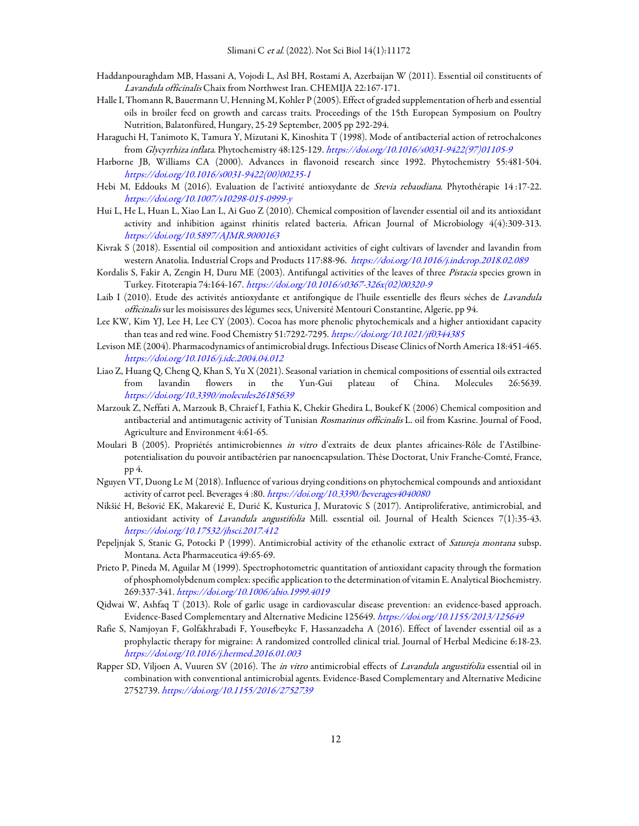- Haddanpouraghdam MB, Hassani A, Vojodi L, Asl BH, Rostami A, Azerbaijan W (2011). Essential oil constituents of Lavandula officinalis Chaix from Northwest Iran. CHEMIJA 22:167-171.
- Halle I, Thomann R, Bauermann U, Henning M, Kohler P (2005). Effect of graded supplementation of herb and essential oils in broiler feed on growth and carcass traits. Proceedings of the 15th European Symposium on Poultry Nutrition, Balatonfüred, Hungary, 25-29 September, 2005 pp 292-294.
- Haraguchi H, Tanimoto K, Tamura Y, Mizutani K, Kinoshita T (1998). Mode of antibacterial action of retrochalcones from Glycyrrhiza inflata. Phytochemistry 48:125-129. https://doi.org/10.1016/s0031-9422(97)01105-9
- Harborne JB, Williams CA (2000). Advances in flavonoid research since 1992. Phytochemistry 55:481-504. https://doi.org/10.1016/s0031-9422(00)00235-1
- Hebi M, Eddouks M (2016). Evaluation de l'activité antioxydante de Stevia rebaudiana. Phytothérapie 14 :17-22. https://doi.org/10.1007/s10298-015-0999-y
- Hui L, He L, Huan L, Xiao Lan L, Ai Guo Z (2010). Chemical composition of lavender essential oil and its antioxidant activity and inhibition against rhinitis related bacteria. African Journal of Microbiology 4(4):309-313. https://doi.org/10.5897/AJMR.9000163
- Kivrak S (2018). Essential oil composition and antioxidant activities of eight cultivars of lavender and lavandin from western Anatolia. Industrial Crops and Products 117:88-96. https://doi.org/10.1016/j.indcrop.2018.02.089
- Kordalis S, Fakir A, Zengin H, Duru ME (2003). Antifungal activities of the leaves of three Pistacia species grown in Turkey. Fitoterapia 74:164-167. https://doi.org/10.1016/s0367-326x(02)00320-9
- Laib I (2010). Etude des activités antioxydante et antifongique de l'huile essentielle des fleurs séches de Lavandula officinalis sur les moisissures des légumes secs, Université Mentouri Constantine, Algerie, pp 94.
- Lee KW, Kim YJ, Lee H, Lee CY (2003). Cocoa has more phenolic phytochemicals and a higher antioxidant capacity than teas and red wine. Food Chemistry 51:7292-7295. https://doi.org/10.1021/jf0344385
- Levison ME (2004). Pharmacodynamics of antimicrobial drugs. Infectious Disease Clinics of North America 18:451-465. https://doi.org/10.1016/j.idc.2004.04.012
- Liao Z, Huang Q, Cheng Q, Khan S, Yu X (2021). Seasonal variation in chemical compositions of essential oils extracted from lavandin flowers in the Yun-Gui plateau of China. Molecules 26:5639. https://doi.org/10.3390/molecules26185639
- Marzouk Z, Neffati A, Marzouk B, Chraief I, Fathia K, Chekir Ghedira L, Boukef K (2006) Chemical composition and antibacterial and antimutagenic activity of Tunisian Rosmarinus officinalis L. oil from Kasrine. Journal of Food, Agriculture and Environment 4:61-65.
- Moulari B (2005). Propriétés antimicrobiennes in vitro d'extraits de deux plantes africaines-Rôle de l'Astilbinepotentialisation du pouvoir antibactérien par nanoencapsulation. Thèse Doctorat, Univ Franche-Comté, France, pp 4.
- Nguyen VT, Duong Le M (2018). Influence of various drying conditions on phytochemical compounds and antioxidant activity of carrot peel. Beverages 4:80. https://doi.org/10.3390/beverages4040080
- Nikšić H, Bešović EK, Makarević E, Durić K, Kusturica J, Muratovic S (2017). Antiproliferative, antimicrobial, and antioxidant activity of Lavandula angustifolia Mill. essential oil. Journal of Health Sciences 7(1):35-43. https://doi.org/10.17532/jhsci.2017.412
- Pepeljnjak S, Stanic G, Potocki P (1999). Antimicrobial activity of the ethanolic extract of *Satureja montana* subsp. Montana. Acta Pharmaceutica 49:65-69.
- Prieto P, Pineda M, Aguilar M (1999). Spectrophotometric quantitation of antioxidant capacity through the formation of phosphomolybdenum complex: specific application to the determination of vitamin E. Analytical Biochemistry. 269:337-341. https://doi.org/10.1006/abio.1999.4019
- Qidwai W, Ashfaq T (2013). Role of garlic usage in cardiovascular disease prevention: an evidence-based approach. Evidence-Based Complementary and Alternative Medicine 125649. https://doi.org/10.1155/2013/125649
- Rafie S, Namjoyan F, Golfakhrabadi F, Yousefbeykc F, Hassanzadeha A (2016). Effect of lavender essential oil as a prophylactic therapy for migraine: A randomized controlled clinical trial. Journal of Herbal Medicine 6:18-23. https://doi.org/10.1016/j.hermed.2016.01.003
- Rapper SD, Viljoen A, Vuuren SV (2016). The in vitro antimicrobial effects of Lavandula angustifolia essential oil in combination with conventional antimicrobial agents. Evidence-Based Complementary and Alternative Medicine 2752739. https://doi.org/10.1155/2016/2752739